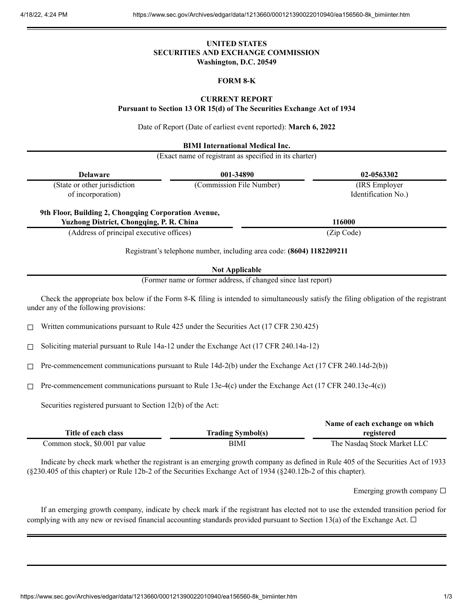## **UNITED STATES SECURITIES AND EXCHANGE COMMISSION Washington, D.C. 20549**

## **FORM 8-K**

### **CURRENT REPORT**

**Pursuant to Section 13 OR 15(d) of The Securities Exchange Act of 1934**

Date of Report (Date of earliest event reported): **March 6, 2022**

**BIMI International Medical Inc.**

(Exact name of registrant as specified in its charter)

|                                                               | <b>Delaware</b>                                                                                        | 001-34890                                                             | 02-0563302                                                                                                                           |  |
|---------------------------------------------------------------|--------------------------------------------------------------------------------------------------------|-----------------------------------------------------------------------|--------------------------------------------------------------------------------------------------------------------------------------|--|
|                                                               | (State or other jurisdiction<br>of incorporation)                                                      | (Commission File Number)                                              | (IRS Employer<br>Identification No.)                                                                                                 |  |
|                                                               | 9th Floor, Building 2, Chongqing Corporation Avenue,<br>Yuzhong District, Chongqing, P. R. China       |                                                                       | 116000                                                                                                                               |  |
|                                                               | (Address of principal executive offices)                                                               |                                                                       | (Zip Code)                                                                                                                           |  |
|                                                               |                                                                                                        | Registrant's telephone number, including area code: (8604) 1182209211 |                                                                                                                                      |  |
| <b>Not Applicable</b>                                         |                                                                                                        |                                                                       |                                                                                                                                      |  |
| (Former name or former address, if changed since last report) |                                                                                                        |                                                                       |                                                                                                                                      |  |
|                                                               | under any of the following provisions:                                                                 |                                                                       | Check the appropriate box below if the Form 8-K filing is intended to simultaneously satisfy the filing obligation of the registrant |  |
| $\Box$                                                        | Written communications pursuant to Rule 425 under the Securities Act (17 CFR 230.425)                  |                                                                       |                                                                                                                                      |  |
| □                                                             | Soliciting material pursuant to Rule 14a-12 under the Exchange Act (17 CFR 240.14a-12)                 |                                                                       |                                                                                                                                      |  |
| □                                                             | Pre-commencement communications pursuant to Rule 14d-2(b) under the Exchange Act (17 CFR 240.14d-2(b)) |                                                                       |                                                                                                                                      |  |
| □                                                             | Pre-commencement communications pursuant to Rule 13e-4(c) under the Exchange Act (17 CFR 240.13e-4(c)) |                                                                       |                                                                                                                                      |  |
|                                                               | Securities registered pursuant to Section 12(b) of the Act:                                            |                                                                       |                                                                                                                                      |  |
|                                                               | Title of each class<br>Common stock, \$0.001 par value                                                 | <b>Trading Symbol(s)</b><br><b>BIMI</b>                               | Name of each exchange on which<br>registered<br>The Nasdaq Stock Market LLC                                                          |  |

Indicate by check mark whether the registrant is an emerging growth company as defined in Rule 405 of the Securities Act of 1933 (§230.405 of this chapter) or Rule 12b-2 of the Securities Exchange Act of 1934 (§240.12b-2 of this chapter).

Emerging growth company  $\Box$ 

If an emerging growth company, indicate by check mark if the registrant has elected not to use the extended transition period for complying with any new or revised financial accounting standards provided pursuant to Section 13(a) of the Exchange Act.  $\Box$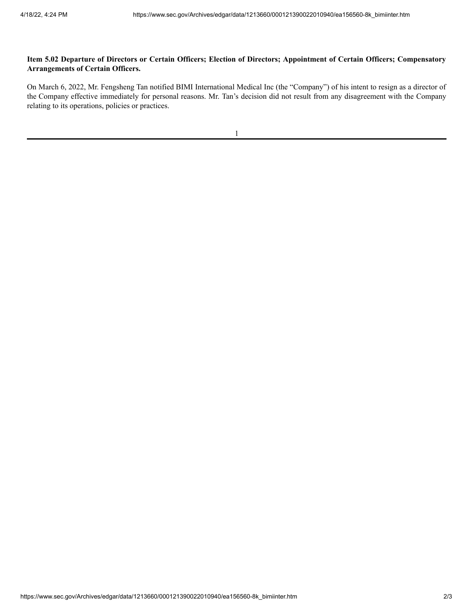# Item 5.02 Departure of Directors or Certain Officers; Election of Directors; Appointment of Certain Officers; Compensatory **Arrangements of Certain Officers.**

On March 6, 2022, Mr. Fengsheng Tan notified BIMI International Medical Inc (the "Company") of his intent to resign as a director of the Company effective immediately for personal reasons. Mr. Tan's decision did not result from any disagreement with the Company relating to its operations, policies or practices.